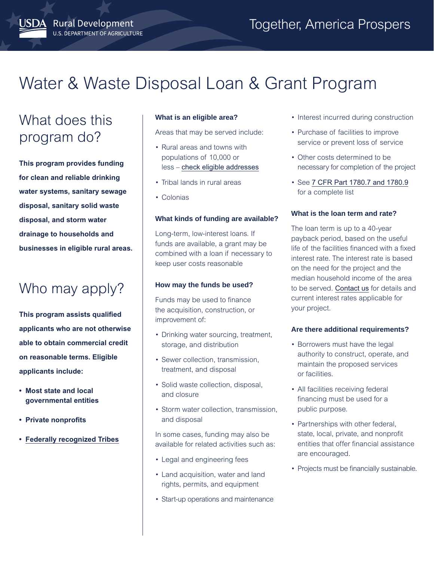# Water & Waste Disposal Loan & Grant Program

# What does this program do?

JSDA Rural Development

U.S. DEPARTMENT OF AGRICULTURE

**This program provides funding for clean and reliable drinking water systems, sanitary sewage disposal, sanitary solid waste disposal, and storm water drainage to households and businesses in eligible rural areas.** 

# Who may apply?

**This program assists qualified applicants who are not otherwise able to obtain commercial credit on reasonable terms. Eligible applicants include:** 

- **Most state and local governmental entities**
- **Private nonprofits**
- **[Federally recognized Tribes](https://www.bia.gov/bia/ois/tgs)**

# **What is an eligible area?**

Areas that may be served include:

- Rural areas and towns with populations of 10,000 or less – [check eligible addresses](https://eligibility.sc.egov.usda.gov/eligibility/welcomeAction.do)
- Tribal lands in rural areas
- Colonias

## **What kinds of funding are available?**

Long-term, low-interest loans. If funds are available, a grant may be combined with a loan if necessary to keep user costs reasonable

### **How may the funds be used?**

Funds may be used to finance the acquisition, construction, or improvement of:

- Drinking water sourcing, treatment, storage, and distribution
- Sewer collection, transmission, treatment, and disposal
- Solid waste collection, disposal, and closure
- Storm water collection, transmission, and disposal

In some cases, funding may also be available for related activities such as:

- Legal and engineering fees
- Land acquisition, water and land rights, permits, and equipment
- Start-up operations and maintenance
- Interest incurred during construction
- Purchase of facilities to improve service or prevent loss of service
- Other costs determined to be necessary for completion of the project
- See [7 CFR Part 1780.7 and 1780.9](https://www.ecfr.gov/cgi-bin/text-idx?SID=9a498b91e28caa63d93ef77056704bfa&node=pt7.12.1780&rgn=div5) for a complete list

## **What is the loan term and rate?**

The loan term is up to a 40-year payback period, based on the useful life of the facilities financed with a fixed interest rate. The interest rate is based on the need for the project and the median household income of the area to be served. [Contact us](https://www.rd.usda.gov/contact-us/state-offices) for details and current interest rates applicable for your project.

### **Are there additional requirements?**

- Borrowers must have the legal authority to construct, operate, and maintain the proposed services or facilities.
- All facilities receiving federal financing must be used for a public purpose.
- Partnerships with other federal, state, local, private, and nonprofit entities that offer financial assistance are encouraged.
- Projects must be financially sustainable.